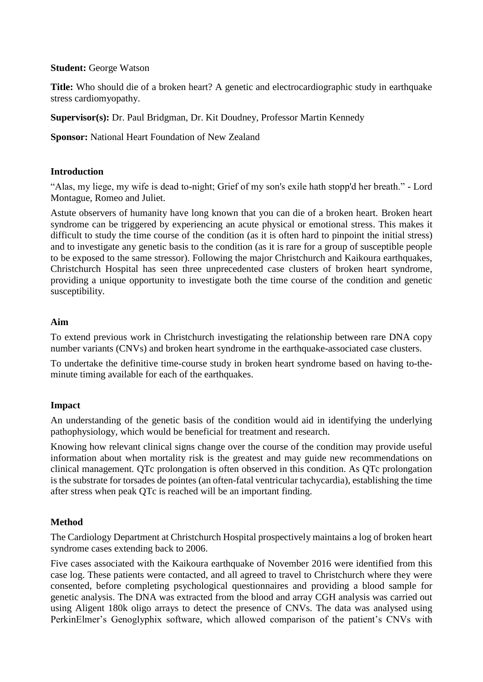#### **Student:** George Watson

**Title:** Who should die of a broken heart? A genetic and electrocardiographic study in earthquake stress cardiomyopathy.

**Supervisor(s):** Dr. Paul Bridgman, Dr. Kit Doudney, Professor Martin Kennedy

**Sponsor:** National Heart Foundation of New Zealand

# **Introduction**

"Alas, my liege, my wife is dead to-night; Grief of my son's exile hath stopp'd her breath." - Lord Montague, Romeo and Juliet.

Astute observers of humanity have long known that you can die of a broken heart. Broken heart syndrome can be triggered by experiencing an acute physical or emotional stress. This makes it difficult to study the time course of the condition (as it is often hard to pinpoint the initial stress) and to investigate any genetic basis to the condition (as it is rare for a group of susceptible people to be exposed to the same stressor). Following the major Christchurch and Kaikoura earthquakes, Christchurch Hospital has seen three unprecedented case clusters of broken heart syndrome, providing a unique opportunity to investigate both the time course of the condition and genetic susceptibility.

# **Aim**

To extend previous work in Christchurch investigating the relationship between rare DNA copy number variants (CNVs) and broken heart syndrome in the earthquake-associated case clusters.

To undertake the definitive time-course study in broken heart syndrome based on having to-theminute timing available for each of the earthquakes.

### **Impact**

An understanding of the genetic basis of the condition would aid in identifying the underlying pathophysiology, which would be beneficial for treatment and research.

Knowing how relevant clinical signs change over the course of the condition may provide useful information about when mortality risk is the greatest and may guide new recommendations on clinical management. QTc prolongation is often observed in this condition. As QTc prolongation is the substrate for torsades de pointes (an often-fatal ventricular tachycardia), establishing the time after stress when peak QTc is reached will be an important finding.

# **Method**

The Cardiology Department at Christchurch Hospital prospectively maintains a log of broken heart syndrome cases extending back to 2006.

Five cases associated with the Kaikoura earthquake of November 2016 were identified from this case log. These patients were contacted, and all agreed to travel to Christchurch where they were consented, before completing psychological questionnaires and providing a blood sample for genetic analysis. The DNA was extracted from the blood and array CGH analysis was carried out using Aligent 180k oligo arrays to detect the presence of CNVs. The data was analysed using PerkinElmer's Genoglyphix software, which allowed comparison of the patient's CNVs with